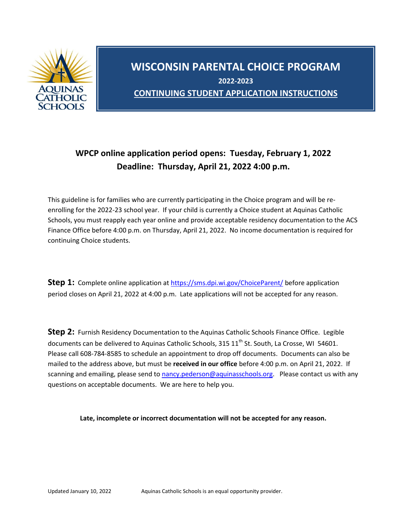

## **WISCONSIN PARENTAL CHOICE PROGRAM 2022-2023 CONTINUING STUDENT APPLICATION INSTRUCTIONS**

## **WPCP online application period opens: Tuesday, February 1, 2022 Deadline: Thursday, April 21, 2022 4:00 p.m.**

This guideline is for families who are currently participating in the Choice program and will be reenrolling for the 2022-23 school year. If your child is currently a Choice student at Aquinas Catholic Schools, you must reapply each year online and provide acceptable residency documentation to the ACS Finance Office before 4:00 p.m. on Thursday, April 21, 2022. No income documentation is required for continuing Choice students.

**Step 1:** Complete online application at<https://sms.dpi.wi.gov/ChoiceParent/> before application period closes on April 21, 2022 at 4:00 p.m. Late applications will not be accepted for any reason.

**Step 2:** Furnish Residency Documentation to the Aquinas Catholic Schools Finance Office. Legible documents can be delivered to Aquinas Catholic Schools, 315 11<sup>th</sup> St. South, La Crosse, WI 54601. Please call 608-784-8585 to schedule an appointment to drop off documents. Documents can also be mailed to the address above, but must be **received in our office** before 4:00 p.m. on April 21, 2022. If scanning and emailing, please send t[o nancy.pederson@aquinasschools.org.](mailto:nancy.pederson@aquinasschools.org) Please contact us with any questions on acceptable documents. We are here to help you.

**Late, incomplete or incorrect documentation will not be accepted for any reason.**